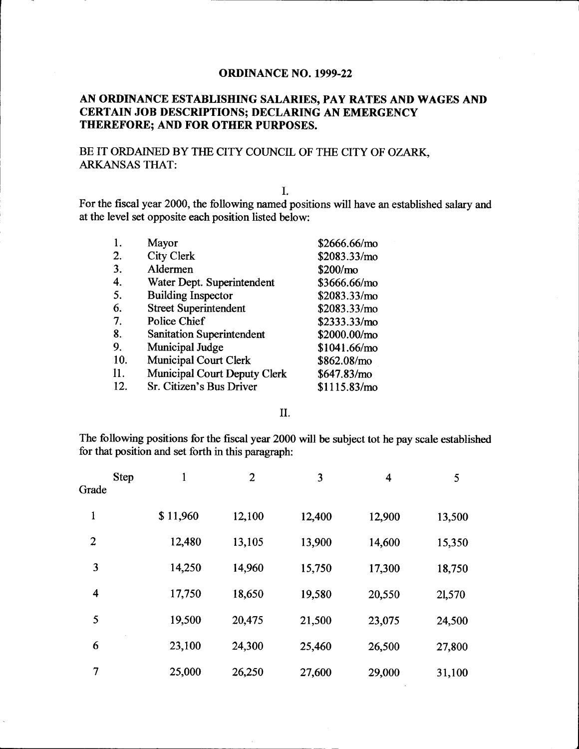### **ORDINANCE NO. 1999-22**

### AN ORDINANCE ESTABLISHING SALARIES, PAY RATES AND WAGES AND CERTAIN JOB DESCRIPTIONS; DECLARING AN EMERGENCY THEREFORE; AND FOR OTHER PURPOSES.

### BE IT ORDAINED BY THE CITY COUNCIL OF THE CITY OF OZARK, ARKANSAS THAT:

I.

For the fiscal year 2000, the following named positions will have an established salary and at the level set opposite each position listed below:

| 1.  | Mayor                               | \$2666.66/mo         |
|-----|-------------------------------------|----------------------|
| 2.  | <b>City Clerk</b>                   | \$2083.33/mo         |
| 3.  | Aldermen                            | \$200/m <sub>o</sub> |
| 4.  | Water Dept. Superintendent          | \$3666.66/mo         |
| 5.  | <b>Building Inspector</b>           | \$2083.33/mo         |
| 6.  | <b>Street Superintendent</b>        | \$2083.33/mo         |
| 7.  | Police Chief                        | \$2333.33/mo         |
| 8.  | <b>Sanitation Superintendent</b>    | \$2000.00/mo         |
| 9.  | Municipal Judge                     | \$1041.66/m0         |
| 10. | <b>Municipal Court Clerk</b>        | \$862.08/mo          |
| 11. | <b>Municipal Court Deputy Clerk</b> | \$647.83/m0          |
| 12. | Sr. Citizen's Bus Driver            | \$1115.83/mol        |

#### II.

The following positions for the fiscal year 2000 will be subject tot he pay scale established for that position and set forth in this paragraph:

| <b>Step</b><br>Grade    | $\mathbf{1}$ | $\overline{2}$ | 3      | $\overline{\mathbf{4}}$ | 5      |
|-------------------------|--------------|----------------|--------|-------------------------|--------|
| 1                       | \$11,960     | 12,100         | 12,400 | 12,900                  | 13,500 |
| $\overline{2}$          | 12,480       | 13,105         | 13,900 | 14,600                  | 15,350 |
| 3                       | 14,250       | 14,960         | 15,750 | 17,300                  | 18,750 |
| $\overline{\mathbf{4}}$ | 17,750       | 18,650         | 19,580 | 20,550                  | 21,570 |
| 5                       | 19,500       | 20,475         | 21,500 | 23,075                  | 24,500 |
| 6                       | 23,100       | 24,300         | 25,460 | 26,500                  | 27,800 |
| $\overline{7}$          | 25,000       | 26,250         | 27,600 | 29,000                  | 31,100 |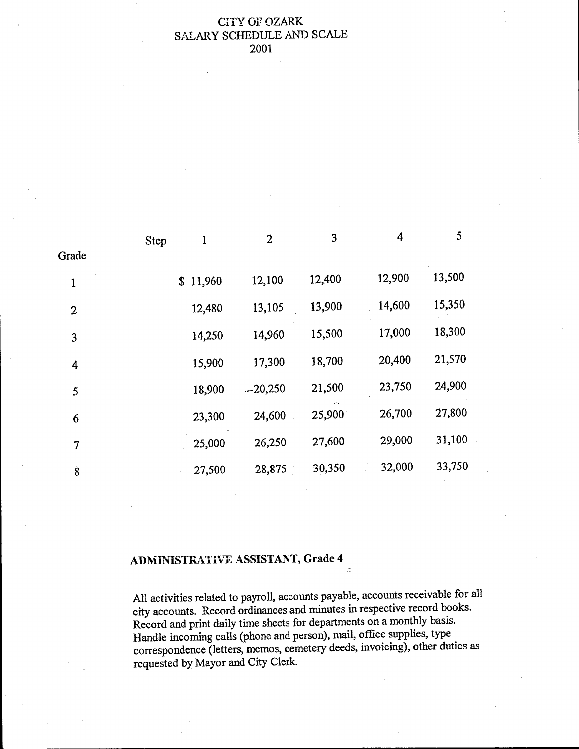### **CITY OF OZARK** SALARY SCHEDULE AND SCALE 2001

|                | <b>Step</b> | 1        | $\boldsymbol{2}$ | 3      | $\overline{4}$ | 5      |
|----------------|-------------|----------|------------------|--------|----------------|--------|
| Grade          |             |          |                  |        |                |        |
| 1              |             | \$11,960 | 12,100           | 12,400 | 12,900         | 13,500 |
| $\mathbf{2}$   |             | 12,480   | 13,105           | 13,900 | 14,600         | 15,350 |
| $\overline{3}$ |             | 14,250   | 14,960           | 15,500 | 17,000         | 18,300 |
| 4              |             | 15,900   | 17,300           | 18,700 | 20,400         | 21,570 |
| 5 <sup>°</sup> |             | 18,900   | $-20,250$        | 21,500 | 23,750         | 24,900 |
| 6              |             | 23,300   | 24,600           | 25,900 | 26,700         | 27,800 |
| $\overline{7}$ |             | 25,000   | 26,250           | 27,600 | 29,000         | 31,100 |
| $\overline{8}$ |             | 27,500   | 28,875           | 30,350 | 32,000         | 33,750 |
|                |             |          |                  |        |                |        |

## ADMINISTRATIVE ASSISTANT, Grade 4

All activities related to payroll, accounts payable, accounts receivable for all city accounts. Record ordinances and minutes in respective record books. Record and print daily time sheets for departments on a monthly basis. Handle incoming calls ( phone and person), mail, office supplies, type correspondence (letters, memos, cemetery deeds, invoicing), other duties as requested by Mayor and City Clerk.

 $\mathbb{R}^2$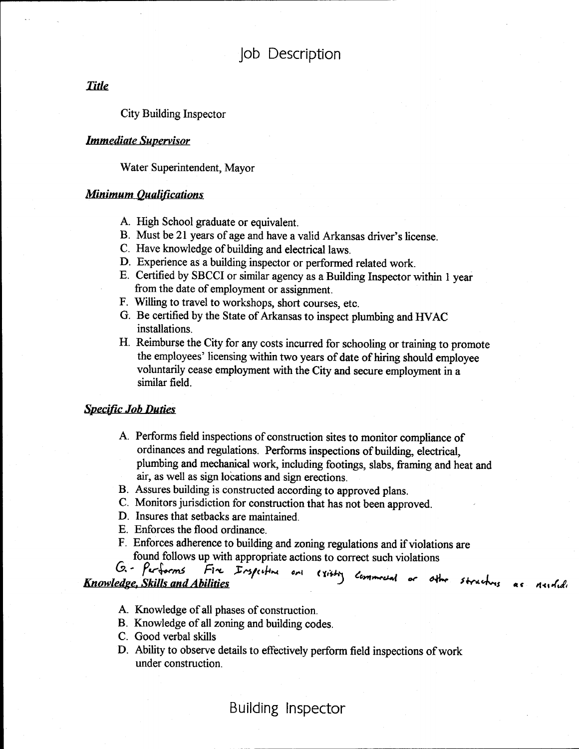**Title** 

City Building Inspector

#### Immediate Supervisor

Water Superintendent, Mayor

### **Minimum Qualifications**

- A. High School graduate or equivalent.
- B. Must be 21 years of age and have a valid Arkansas driver's license.
- C. Have knowledge of building and electrical laws.
- D. Experience as a building inspector or performed related work.
- E. Certified by SBCCI or similar agency as a Building Inspector within <sup>1</sup> year from the date of employment or assignment.
- F. Willing to travel to workshops, short courses, etc.
- G. Be certified by the State of Arkansas to inspect plumbing and HVAC installations.
- H. Reimburse the City for any costs incurred for schooling or training to promote the employees' licensing within two years of date of hiring should employee voluntarily cease employment with the City and secure employment in a similar field.

#### **Specific Job Duties**

- A. Performs field inspections of construction sites to monitor compliance of ordinances and regulations. Performs inspections of building, electrical, plumbing and mechanical work, including footings, slabs, framing and heat and air, as well as sign locations and sign erections.
- B. Assures building is constructed according to approved plans.
- C. Monitors jurisdiction for construction that has not been approved.
- D. Insures that setbacks are maintained.
- E. Enforces the flood ordinance.
- F. Enforces adherence to building and zoning regulations and if violations are found follows up with appropriate actions to correct such violations  $G - \rho_{\text{cr}}$  forms  $F \sim \text{Fors}_k + \rho_{\text{cr}}$

**Knowledge. Skills and Abilities** cettre and existy commoded or other structures as

- A. Knowledge of all phases of construction.
- B. Knowledge of all zoning and building codes.
- C. Good verbal skills
- D. Ability to observe details to effectively perform field inspections of work under construction.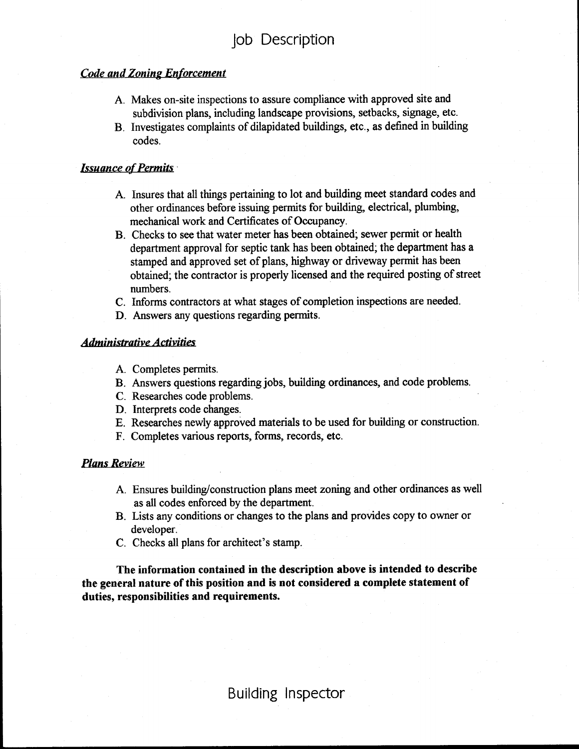#### **Code and Zoning Enforcement**

- A. Makes on-site inspections to assure compliance with approved site and subdivision plans, including landscape provisions, setbacks, signage, etc.
- B. Investigates complaints of dilapidated buildings, etc., as defined in building codes.

#### **Issuance of Permits**

- A. Insures that all things pertaining to lot and building meet standard codes and other ordinances before issuing permits for building, electrical, plumbing, mechanical work and Certificates of Occupancy.
- B. Checks to see that water meter has been obtained; sewer permit or health department approval for septic tank has been obtained; the department has a stamped and approved set of plans, highway or driveway permit has been obtained; the contractor is properly licensed and the required posting of street numbers.
- C. Informs contractors at what stages of completion inspections are needed.
- D. Answers any questions regarding permits.

#### Administrative Activities

- A. Completes permits.
- B. Answers questions regarding jobs, building ordinances, and code problems.
- C. Researches code problems.
- D. Interprets code changes.
- E. Researches newly approved materials to be used for building or construction.
- F. Completes various reports, forms, records, etc.

#### Plans Review

- A. Ensures building/construction plans meet zoning and other ordinances as well as all codes enforced by the department.
- B. Lists any conditions or changes to the plans and provides copy to owner or developer.
- C. Checks all plans for architect's stamp.

The information contained in the description above is intended to describe the general nature of this position and is not considered a complete statement of duties, responsibilities and requirements.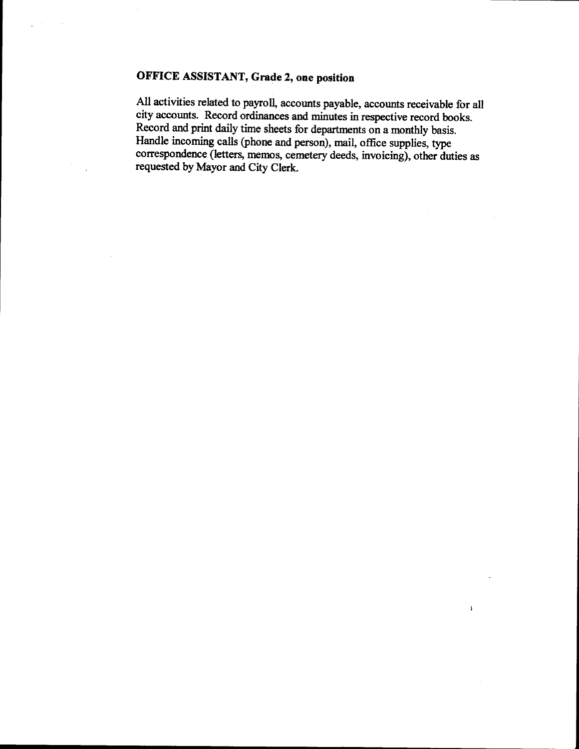## OFFICE ASSISTANT, Grade Z, one position

All activities related to payroll, accounts payable, accounts receivable for all city accounts. Record ordinances and minutes in respective record books. Record and print daily time sheets for departments on a monthly basis. Handle incoming calls( phone and person), mail, office supplies, type correspondence (letters, memos, cemetery deeds, invoicing), other duties as requested by Mayor and City Clerk.

 $\bar{Y}$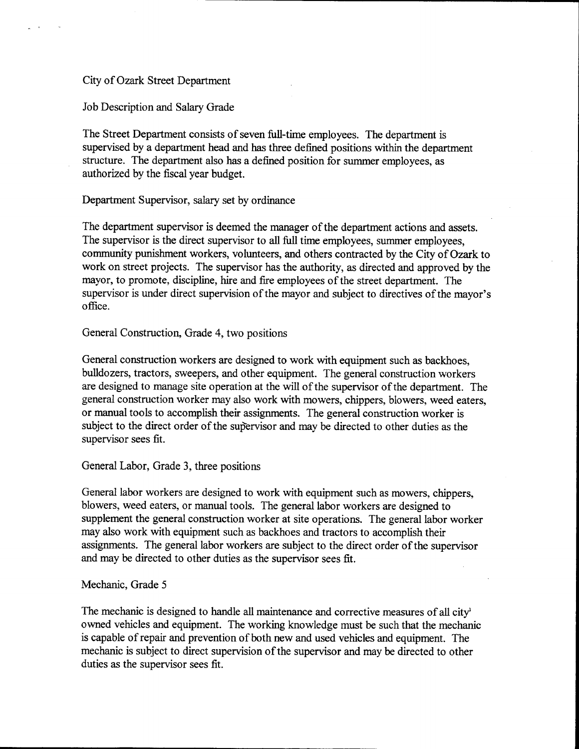#### City of Ozark Street Department

Job Description and Salary Grade

The Street Department consists of seven full-time employees. The department is supervised by a department head and has three defined positions within the department structure. The department also has a defined position for summer employees, as authorized by the fiscal year budget.

Department Supervisor, salary set by ordinance

The department supervisor is deemed the manager of the department actions and assets. The supervisor is the direct supervisor to all full time employees, summer employees, community punishment workers, volunteers, and others contracted by the City of Ozark to work on street projects. The supervisor has the authority, as directed and approved by the mayor, to promote, discipline, hire and fire employees of the street department. The supervisor is under direct supervision of the mayor and subject to directives of the mayor's office.

General Construction, Grade 4, two positions

General construction workers are designed to work with equipment such as backhoes, bulldozers, tractors, sweepers, and other equipment. The general construction workers are designed to manage site operation at the will of the supervisor of the department. The general construction worker may also work with mowers, chippers, blowers, weed eaters, or manual tools to accomplish their assignments. The general construction worker is subject to the direct order of the supervisor and may be directed to other duties as the supervisor sees fit.

General Labor, Grade 3, three positions

General labor workers are designed to work with equipment such as mowers, chippers, blowers, weed eaters, or manual tools. The general labor workers are designed to supplement the general construction worker at site operations. The general labor worker may also work with equipment such as backhoes and tractors to accomplish their assignments. The general labor workers are subject to the direct order of the supervisor and may be directed to other duties as the supervisor sees fit.

#### Mechanic, Grade 5

The mechanic is designed to handle all maintenance and corrective measures of all city' owned vehicles and equipment. The working knowledge must be such that the mechanic is capable of repair and prevention of both new and used vehicles and equipment. The mechanic is subject to direct supervision of the supervisor and may be directed to other duties as the supervisor sees fit.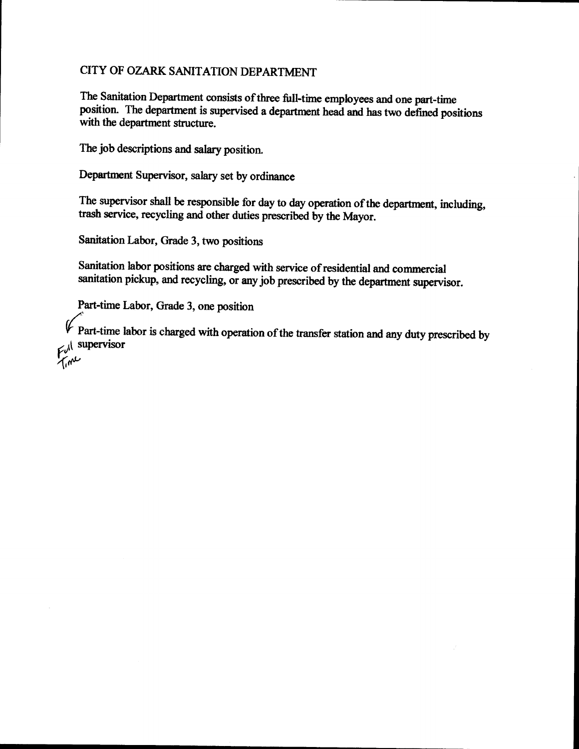## CITY OF OZARK SANITATION DEPARTMENT

The Sanitation Department consists of three full-time employees and one part-time position. The department is supervised a department head and has two defined positions with the department structure.

The job descriptions and salary position.

Department Supervisor, salary set by ordinance

The supervisor shall be responsible for day to day operation of the department, including, trash service, recycling and other duties prescribed by the Mayor.

Sanitation Labor, Grade 3, two positions

Sanitation labor positions are charged with service of residential and commercial sanitation pickup, and recycling, or any job prescribed by the department supervisor.

Part-time Labor, Grade 3, one position

Part-time labor is charged with operation of the transfer station and any duty prescribed by  $F\mathrm{d}^{(1)}$  supervisor  $7\mu$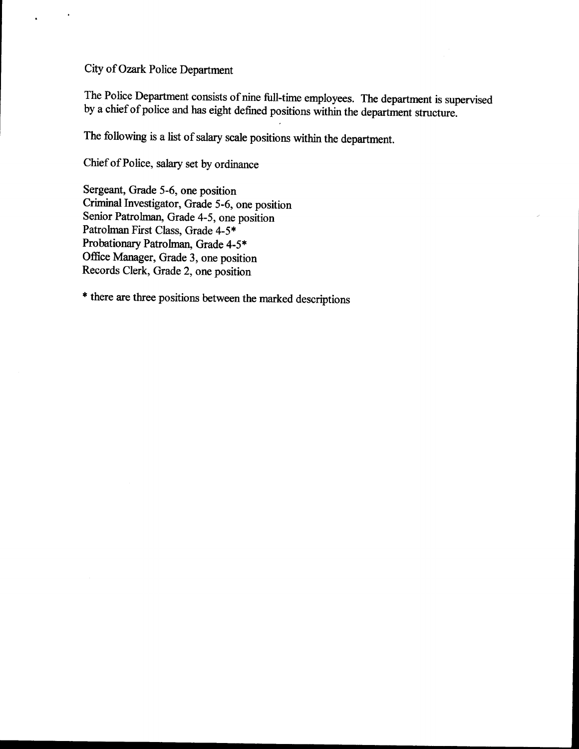City of Ozark Police Department

 $\ddot{\phantom{a}}$ 

The Police Department consists of nine full-time employees. The department is supervised by a chief of police and has eight defined positions within the department structure.

The following is a list of salary scale positions within the department.

Chief of Police, salary set by ordinance

Sergeant, Grade 5-6, one position Criminal Investigator, Grade 5-6, one position Senior Patrolman, Grade 4-5, one position Patrolman First Class, Grade 4-5\* Probationary Patrolman, Grade 4-5\* Office Manager, Grade 3, one position Records Clerk, Grade 2, one position

there are three positions between the marked descriptions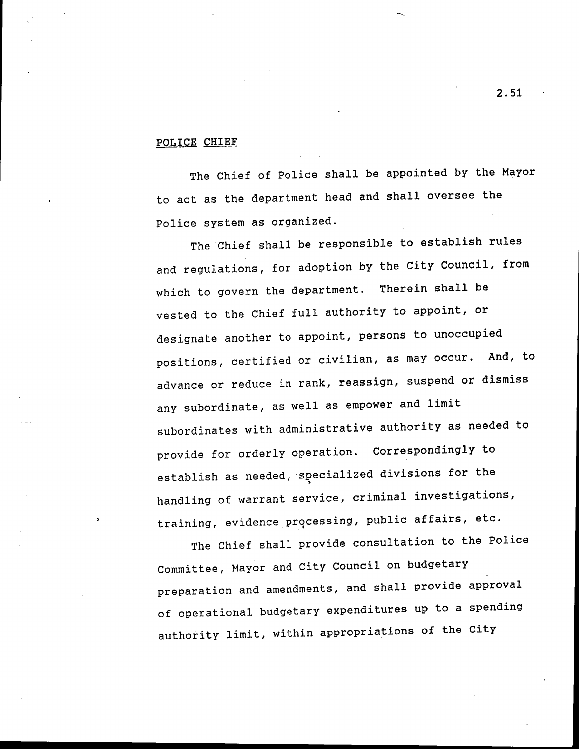#### POLICE CHIEF

The Chief of Police shall be appointed by the Mayor to act as the department head and shall oversee the Police system as organized.

The Chief shall be responsible to establish rules and regulations, for adoption by the City Council, from which to govern the department. Therein shall be vested to the Chief full authority to appoint, or designate another to appoint, persons to unoccupied positions, certified or civilian, as may occur. And, to advance or reduce in rank, reassign, suspend or dismiss any subordinate, as well as empower and limit subordinates with administrative authority as needed to provide for orderly operation. Correspondingly to establish as needed, specialized divisions for the handling of warrant service , criminal investigations, training, evidence processing, public affairs, etc.

The Chief shall provide consultation to the Police Committee , Mayor and City Council on budgetary preparation and amendments , and shall provide approval of operational budgetary expenditures up to <sup>a</sup> spending authority limit, within appropriations of the City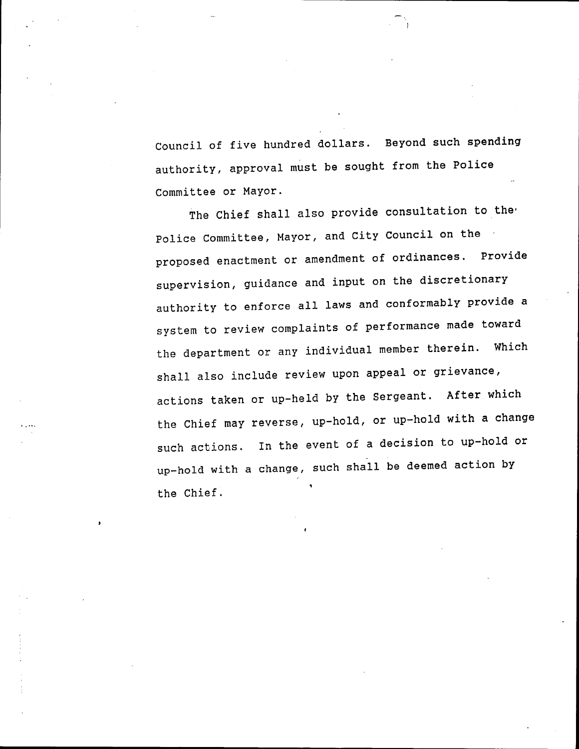Council of five hundred dollars. Beyond such spending authority, approval must be sought from the Police Committee or Mayor.

The Chief shall also provide consultation to the Police Committee, Mayor, and City Council on the proposed enactment or amendment of ordinances. Provide supervision, guidance and input on the discretionary authority to enforce all laws and conformably provide <sup>a</sup> system to review complaints of performance made toward the department or any individual member therein. Which shall also include review upon appeal or grievance, actions taken or up-held by the Sergeant. After which the Chief may reverse, up-hold, or up-hold with a change such actions. In the event of a decision to up-hold or up- hold with <sup>a</sup> change, such shall be deemed action by the Chief.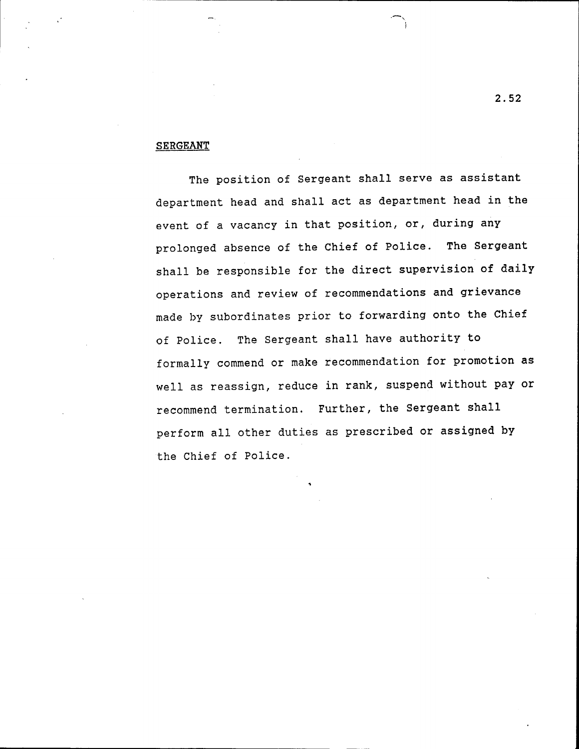#### **SERGEANT**

The position of Sergeant shall serve as assistant department head and shall act as department head in the event of a vacancy in that position, or, during any prolonged absence of the Chief of Police. The Sergeant shall be responsible for the direct supervision of daily operations and review of recommendations and grievance made by subordinates prior to forwarding onto the Chief of Police. The Sergeant shall have authority to formally commend or make recommendation for promotion as well as reassign, reduce in rank, suspend without pay or recommend termination. Further, the Sergeant shall perform all other duties as prescribed or assigned by the Chief of Police .

2. 52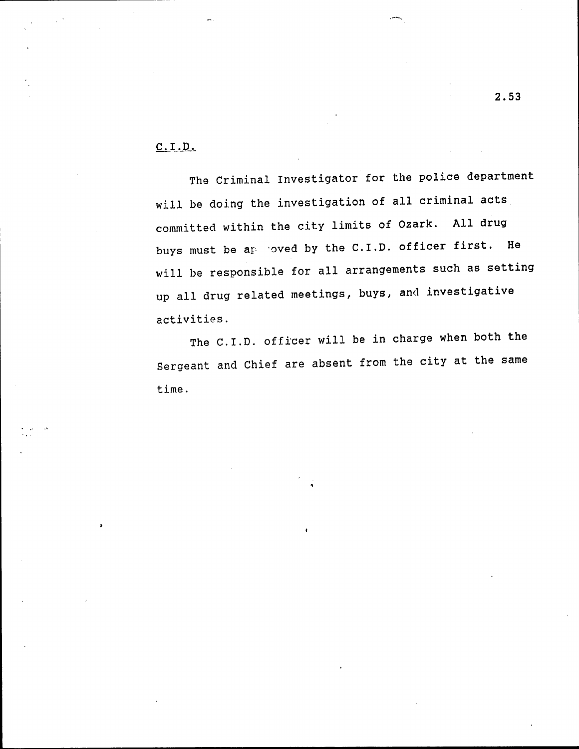### C. I .D.

The Criminal Investigator for the police department will be doing the investigation of all criminal acts committed within the city limits of Ozark. All drug buys must be  $a_F$  -oved by the C.I.D. officer first. He will be responsible for all arrangements such as setting up all drug related meetings, buys, and investigative activities .

The C.I.D. officer will be in charge when both the Sergeant and Chief are absent from the city at the same time .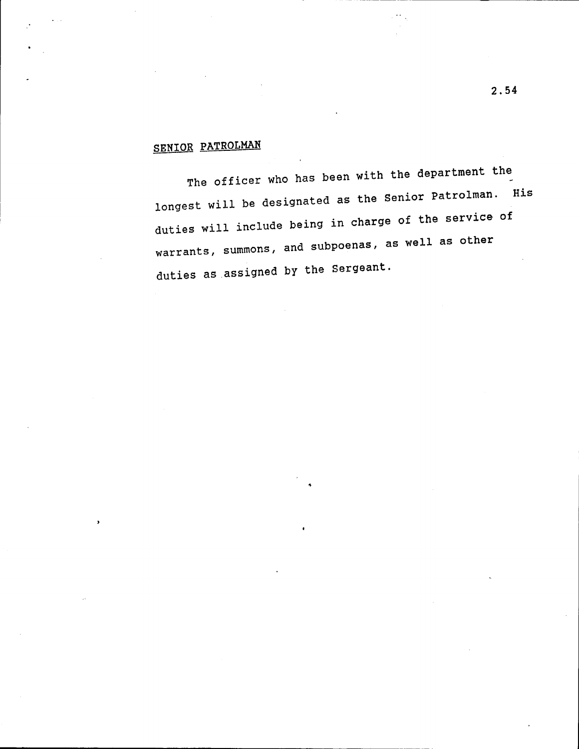# SENIOR PATROLMAN

The officer who has been with the department the longest will be designated as the Senior Patrolman. His duties will include being in charge of the service of warrants , summons , and subpoenas, as well as other duties as assigned by the Sergeant.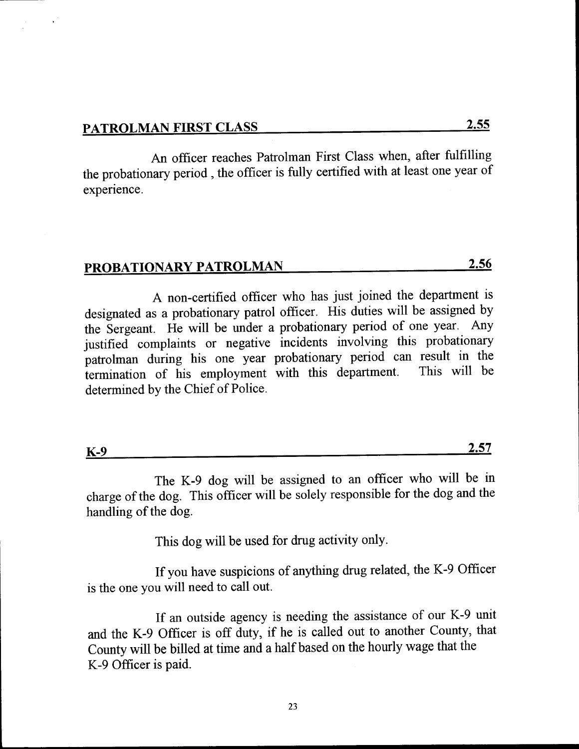An officer reaches Patrolman First Class when, after fulfilling the probationary period , the officer is fully certified with at least one year of experience.

## PROBATIONARY PATROLMAN 2.56

A non- certified officer who has just joined the department is designated as <sup>a</sup> probationary patrol officer. His duties will be assigned by the Sergeant. He will be under <sup>a</sup> probationary period of one year. Any justified complaints or negative incidents involving this probationary patrolman during his one year probationary period can result in the termination of his employment with this department. This will be termination of his employment with this department. determined by the Chief of Police.

| $K-9$ | <b>A PF</b><br>--<br>4.JI |
|-------|---------------------------|
|       |                           |

The K-9 dog will be assigned to an officer who will be in charge of the dog. This officer will be solely responsible for the dog and the handling of the dog.

This dog will be used for drug activity only.

If you have suspicions of anything drug related, the K-9 Officer is the one you will need to call out.

If an outside agency is needing the assistance of our K-9 unit and the K-9 Officer is off duty, if he is called out to another County, that County will be billed at time and <sup>a</sup> half based on the hourly wage that the K-9 Officer is paid.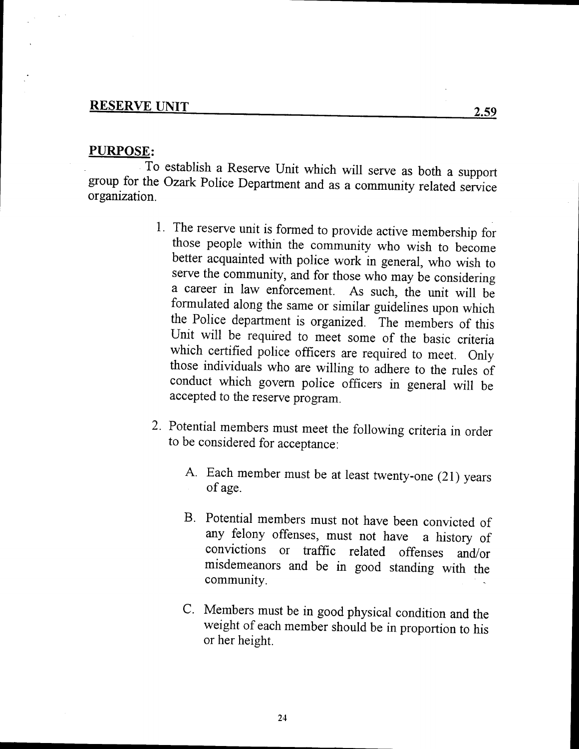# RESERVE UNIT 2.59

### PURPOSE:

To establish <sup>a</sup> Reserve Unit which will serve as both <sup>a</sup> support group for the Ozark Police Department and as a community related service organization.

- 1. The reserve unit is formed to provide active membership for those people within the community who wish to become better acquainted with police work in general, who wish to serve the community, and for those who may be considering <sup>a</sup> career in law enforcement. As such, the unit will be formulated along the same or similar guidelines upon which the Police department is organized. The members of this Unit will be required to meet some of the basic criteria which certified police officers are required to meet. Only those individuals who are willing to adhere to the rules of conduct which govern police officers in general will be accepted to the reserve program.
- 2. Potential members must meet the following criteria in order to be considered for acceptance:
	- A. Each member must be at least twenty-one (21) years of age.
	- B. Potential members must not have been convicted of any felony offenses, must not have <sup>a</sup> history of convictions or traffic related offenses and/or misdemeanors and be in good standing with the community.
	- C. Members must be in good physical condition and the weight of each member should be in proportion to his or her height.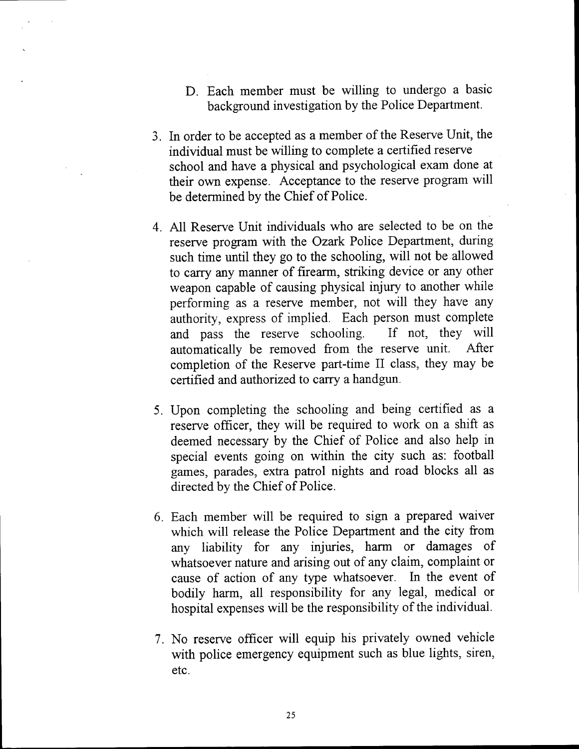- D. Each member must be willing to undergo <sup>a</sup> basic background investigation by the Police Department.
- 3. In order to be accepted as a member of the Reserve Unit, the individual must be willing to complete a certified reserve school and have a physical and psychological exam done at their own expense. Acceptance to the reserve program will be determined by the Chief of Police.
- 4. All Reserve Unit individuals who are selected to be on the reserve program with the Ozark Police Department, during such time until they go to the schooling, will not be allowed to carry any manner of firearm, striking device or any other weapon capable of causing physical injury to another while performing as <sup>a</sup> reserve member, not will they have any authority, express of implied. Each person must complete and pass the reserve schooling. If not, they will and pass the reserve schooling. automatically be removed from the reserve unit. After completion of the Reserve part-time II class, they may be certified and authorized to carry a handgun.
- 5. Upon completing the schooling and being certified as a reserve officer, they will be required to work on <sup>a</sup> shift as deemed necessary by the Chief of Police and also help in special events going on within the city such as: football games, parades, extra patrol nights and road blocks all as directed by the Chief of Police.
- 6. Each member will be required to sign <sup>a</sup> prepared waiver which will release the Police Department and the city from any liability for any injuries, harm or damages of whatsoever nature and arising out of any claim, complaint or cause of action of any type whatsoever. In the event of bodily harm, all responsibility for any legal, medical or hospital expenses will be the responsibility of the individual.
- 7. No reserve officer will equip his privately owned vehicle with police emergency equipment such as blue lights, siren, etc.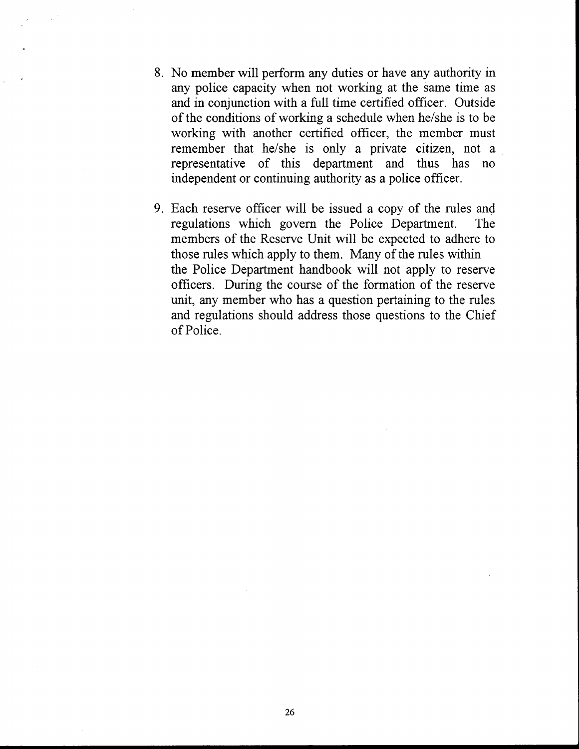- 8. No member will perform any duties or have any authority in any police capacity when not working at the same time as and in conjunction with <sup>a</sup> full time certified officer. Outside of the conditions of working a schedule when he/she is to be working with another certified officer, the member must remember that he/she is only a private citizen, not a representative of this department and thus has no independent or continuing authority as a police officer.
- 9. Each reserve officer will be issued <sup>a</sup> copy of the rules and regulations which govern the Police Department. The members of the Reserve Unit will be expected to adhere to those rules which apply to them. Many of the rules within the Police Department handbook will not apply to reserve officers. During the course of the formation of the reserve unit, any member who has a question pertaining to the rules and regulations should address those questions to the Chief of Police.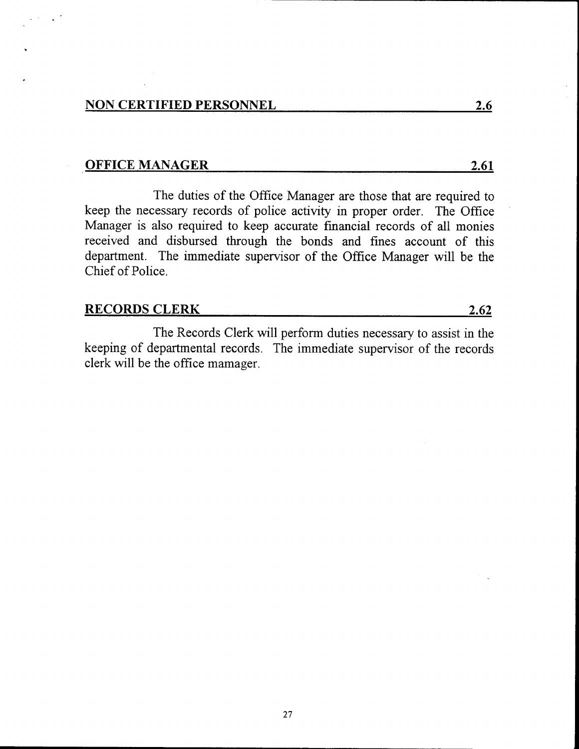### OFFICE MANAGER 2.61

The duties of the Office Manager are those that are required to keep the necessary records of police activity in proper order. The Office Manager is also required to keep accurate financial records of all monies received and disbursed through the bonds and fines account of this department. The immediate supervisor of the Office Manager will be the Chief of Police.

## RECORDS CLERK 2.62

The Records Clerk will perform duties necessary to assist in the keeping of departmental records. The immediate supervisor of the records clerk will be the office mamager.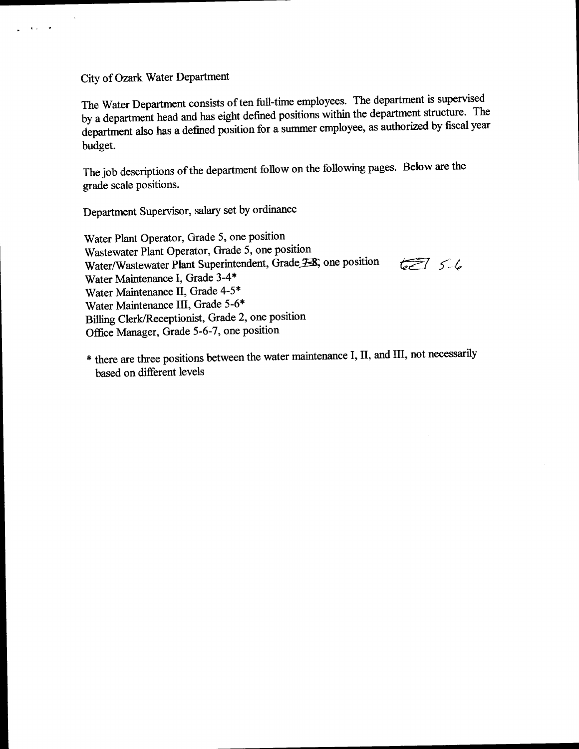City of Ozark Water Department

 $\mathcal{A}(\mathcal{A})$  and  $\mathcal{A}$ 

The Water Department consists of ten full-time employees. The department is supervised<br>by a department head and has eight defined positions within the department structure. The by a department head and has eight defined positions within the department structure. department also has a defined position for a summer employee, as authorized by fiscal year budget.

The job descriptions of the department follow on the following pages. Below are the grade scale positions.

Department Supervisor, salary set by ordinance

Water Plant Operator, Grade 5, one position Wastewater Plant Operator, Grade 5, one position Water/Wastewater Plant Superintendent, Grade F-8, one position  $677, 56$ Water Maintenance I, Grade 3-4\* Water Maintenance II, Grade 4-5\* Water Maintenance III, Grade 5-6\* Billing Clerk/ Receptionist, Grade 2, one position Office Manager, Grade 5-6-7, one position

there are three positions between the water maintenance I, II, and III, not necessarily based on different levels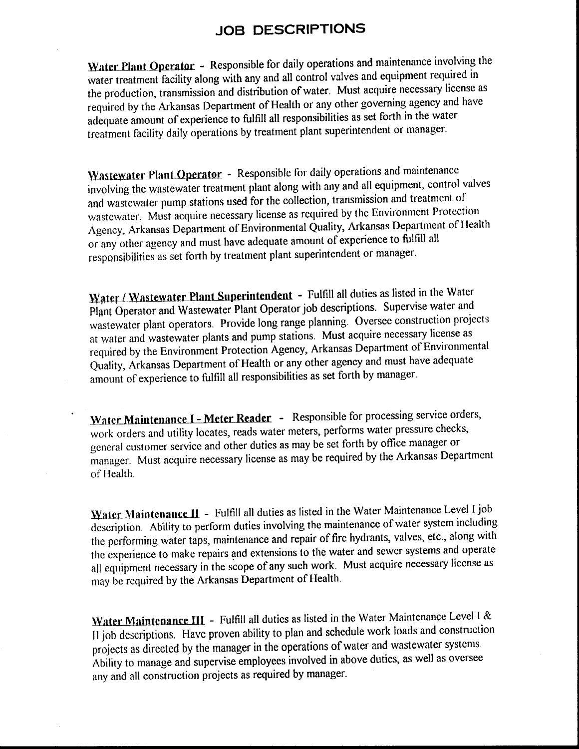## JOB DESCRIPTIONS

Water Plant Operator - Responsible for daily operations and maintenance involving the water treatment facility along with any and all control valves and equipment required in the production, transmission and distribution ofwater. Must acquire necessary license as required by the Arkansas Department of Health or any other governing agency and have adequate amount of experience to fulfill all responsibilities as set forth in the water treatment facility daily operations by treatment plant superintendent or manager.

Wastewater Plant Operator - Responsible for daily operations and maintenance involving the wastewater treatment plant along with any and all equipment, control valves and wastewater pump stations used for the collection, transmission and treatment of wastewater. Must acquire necessary license as required by the Environment Protection Agency, Arkansas Department of Environmental Quality, Arkansas Department of Health or any other agency and must have adequate amount of experience to fulfill all responsibilities as set forth by treatment plant superintendent or manager.

Water / Wastewater Plant Superintendent - Fulfill all duties as listed in the Water Plant Operator and Wastewater Plant Operator job descriptions. Supervise water and wastewater plant operators. Provide long range planning. Oversee construction projects at water and wastewater plants and pump stations. Must acquire necessary license as required by the Environment Protection Agency, Arkansas Department of Environmental Quality, Arkansas Department of Health or any other agency and must have adequate amount of experience to fulfill all responsibilities as set forth by manager.

Water Maintenance I - Meter Reader - Responsible for processing service orders, work orders and utility locates, reads water meters, performs water pressure checks, general customer service and other duties as may be set forth by office manager or manager. Must acquire necessary license as may be required by the Arkansas Department of Health.

Water Maintenance II - Fulfill all duties as listed in the Water Maintenance Level I job description. Ability to perform duties involving the maintenance of water system including the performing water taps, maintenance and repair of fire hydrants, valves, etc., along with the experience to make repairs and extensions to the water and sewer systems and operate all equipment necessary in the scope of any such work. Must acquire necessary license as may be required by the Arkansas Department of Health.

Water Maintenance III - Fulfill all duties as listed in the Water Maintenance Level I & <sup>11</sup> job descriptions. Have proven ability to plan and schedule work loads and construction projects as directed by the manager in the operations of water and wastewater systems. Ability to manage and supervise employees involved in above duties, as well as oversee any and all construction projects as required by manager.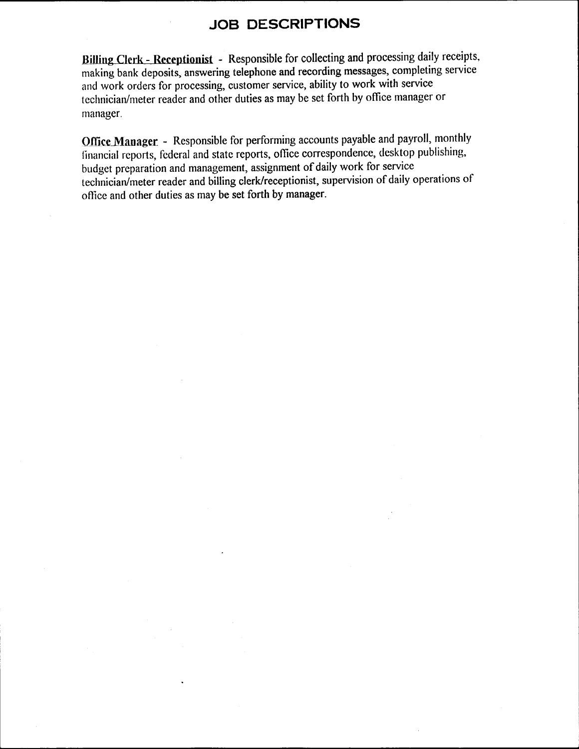# JOB DESCRIPTIONS

Billing Clerk- Receptionist - Responsible for collecting and processing daily receipts, making bank deposits, answering telephone and recording messages, completing service and work orders for processing, customer service, ability to work with service technician/ meter reader and other duties as may be set forth by office manager or manager.

Office Manager - Responsible for performing accounts payable and payroll, monthly financial reports, federal and state reports, office correspondence, desktop publishing, budget preparation and management, assignment of daily work for service technician/ meter reader and billing clerk/receptionist, supervision of daily operations of office and other duties as may be set forth by manager.